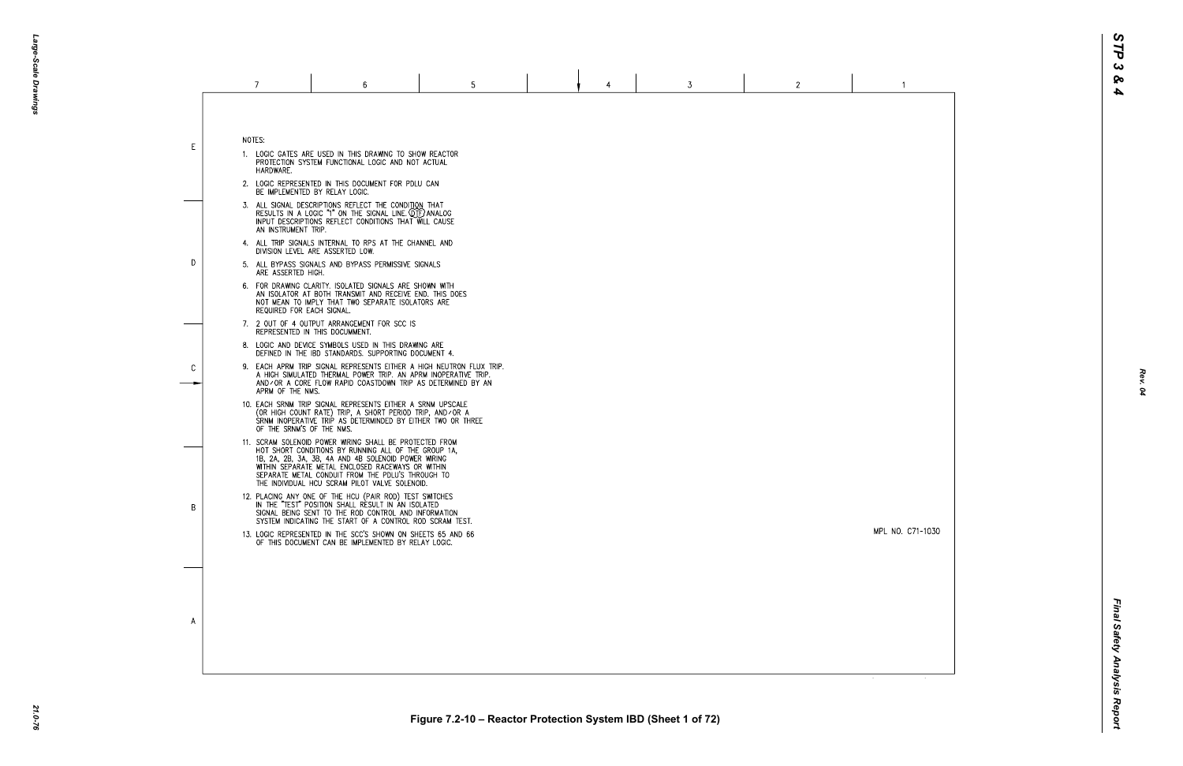MPL NO. C71-1030

 $\overline{1}$ 

 $\blacksquare$ 

NOTES:

E

D

 $\mathcal{C}$ 

B

 $\overline{A}$ 

- 1. LOGIC GATES ARE USED IN THIS DRAWING TO SHOW REACTOR PROTECTION SYSTEM FUNCTIONAL LOGIC AND NOT ACTUAL HARDWARE.
- 2. LOGIC REPRESENTED IN THIS DOCUMENT FOR PDLU CAN BE IMPLEMENTED BY RELAY LOGIC.
- 3. ALL SIGNAL DESCRIPTIONS REFLECT THE CONDITION THAT<br>RESULTS IN A LOGIC "1" ON THE SIGNAL LINE. QTF) ANALOG<br>INPUT DESCRIPTIONS REFLECT CONDITIONS THAT WILL CAUSE AN INSTRUMENT TRIP.
- 4. ALL TRIP SIGNALS INTERNAL TO RPS AT THE CHANNEL AND DIVISION LEVEL ARE ASSERTED LOW.
- 5. ALL BYPASS SIGNALS AND BYPASS PERMISSIVE SIGNALS ARE ASSERTED HIGH.
- 6. FOR DRAWING CLARITY. ISOLATED SIGNALS ARE SHOWN WITH AN ISOLATOR AT BOTH TRANSMIT AND RECEIVE END. THIS DOES NOT MEAN TO IMPLY THAT TWO SEPARATE ISOLATORS ARE REQUIRED FOR EACH SIGNAL.
- 7. 2 OUT OF 4 OUTPUT ARRANGEMENT FOR SCC IS REPRESENTED IN THIS DOCUMMENT.
- 8. LOGIC AND DEVICE SYMBOLS USED IN THIS DRAWING ARE DEFINED IN THE IBD STANDARDS. SUPPORTING DOCUMENT 4.
- 9. EACH APRM TRIP SIGNAL REPRESENTS EITHER A HIGH NEUTRON FLUX TRIP. A HIGH SIMULATED THERMAL POWER TRIP. AN APRM INOPERATIVE TRIP. AND/OR A CORE FLOW RAPID COASTDOWN TRIP AS DETERMINED BY AN APRM OF THE NMS.
- 10. EACH SRNM TRIP SIGNAL REPRESENTS EITHER A SRNM UPSCALE<br>(OR HIGH COUNT RATE) TRIP, A SHORT PERIOD TRIP, AND⁄OR A<br>SRNM INOPERATIVE TRIP AS DETERMINDED BY EITHER TWO OR THREE OF THE SRNM'S OF THE NMS.
- 11. SCRAM SOLENOID POWER WIRING SHALL BE PROTECTED FROM HOT SHORT CONDITIONS BY RUNNING ALL OF THE GROUP 1A, 1B, 2A, 2B, 3A, 3B, 4A AND 4B SOLENOID POWER WIRING WITHIN SEPARATE METAL ENCLOSED RACEWAYS OR WITHIN SEPARATE METAL CONDUIT FROM THE PDLU'S THROUGH TO THE INDIVIDUAL HCU SCRAM PILOT VALVE SOLENOID.
- 12. PLACING ANY ONE OF THE HCU (PAIR ROD) TEST SWITCHES<br>IN THE "TEST" POSITION SHALL RESULT IN AN ISOLATED SIGNAL BEING SENT TO THE ROD CONTROL AND INFORMATION SYSTEM INDICATING THE START OF A CONTROL ROD SCRAM TEST.
- 13. LOGIC REPRESENTED IN THE SCC'S SHOWN ON SHEETS 65 AND 66 OF THIS DOCUMENT CAN BE IMPLEMENTED BY RELAY LOGIC.

*Rev. 04*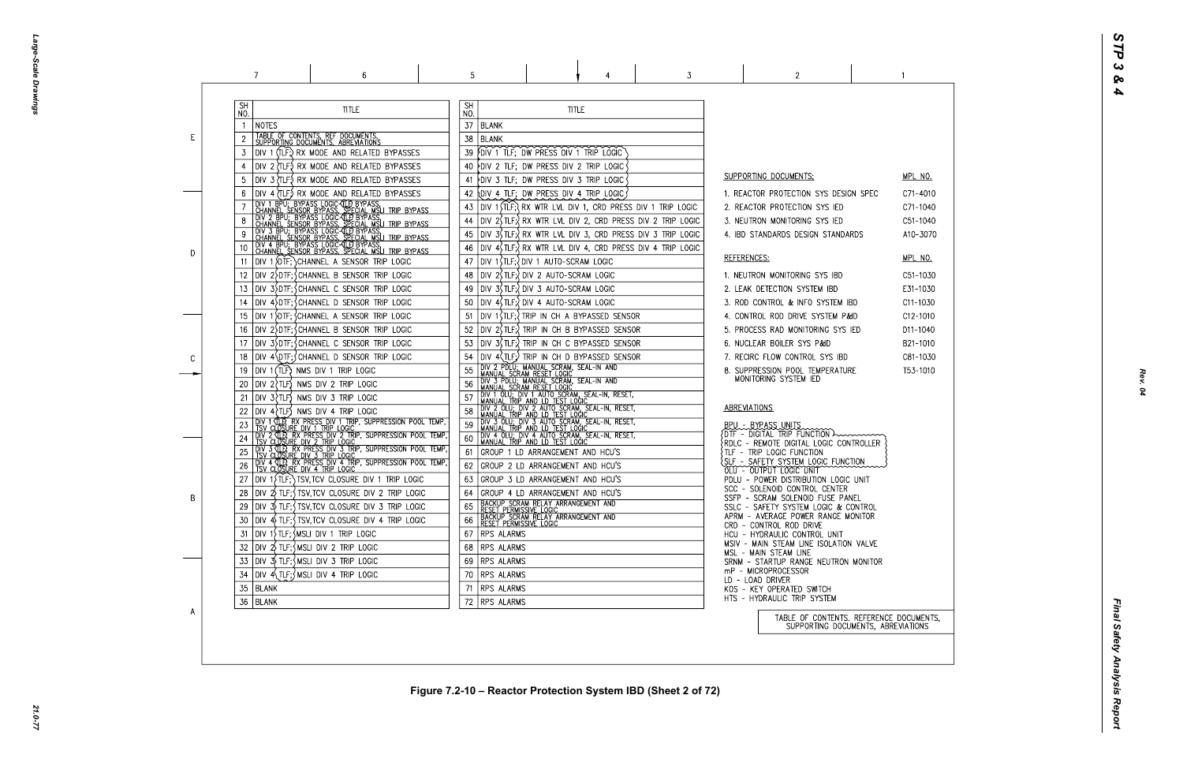Large-Scale Drawings *Large-Scale Drawings*

|   | 7                                     | 6                                                                                                                                                                                                                                                                                                                                                                                                         | 5                                                                              |                                                                                                                                                                                                                                                                                                                                                                                                                                                                        |              | 3                                                                                                                                                                                                          |                     | $\overline{2}$                                                                                                                                                                                                                                                                                                          |  |
|---|---------------------------------------|-----------------------------------------------------------------------------------------------------------------------------------------------------------------------------------------------------------------------------------------------------------------------------------------------------------------------------------------------------------------------------------------------------------|--------------------------------------------------------------------------------|------------------------------------------------------------------------------------------------------------------------------------------------------------------------------------------------------------------------------------------------------------------------------------------------------------------------------------------------------------------------------------------------------------------------------------------------------------------------|--------------|------------------------------------------------------------------------------------------------------------------------------------------------------------------------------------------------------------|---------------------|-------------------------------------------------------------------------------------------------------------------------------------------------------------------------------------------------------------------------------------------------------------------------------------------------------------------------|--|
| E | <b>SH</b><br>NO.<br><b>NOTES</b><br>3 | <b>TITLE</b><br>TABLE OF CONTENTS, REF DOCUMENTS, SUPPORTING DOCUMENTS, ABREVIATIONS<br>DIV 1 (TLF;) RX MODE AND RELATED BYPASSES                                                                                                                                                                                                                                                                         | <b>SH</b><br>NO.<br>37<br><b>BLANK</b><br>38   BLANK<br>39                     | FDIV 1 TLF; DW PRESS DIV 1 TRIP LOGIC                                                                                                                                                                                                                                                                                                                                                                                                                                  | <b>TITLE</b> |                                                                                                                                                                                                            |                     |                                                                                                                                                                                                                                                                                                                         |  |
|   |                                       | DIV 2 (TLF.) RX MODE AND RELATED BYPASSES<br>DIV 3 (TLF) RX MODE AND RELATED BYPASSES<br>DIV 4 (TLF.) RX MODE AND RELATED BYPASSES                                                                                                                                                                                                                                                                        | 40<br>41<br>42<br>43                                                           | DIV 2 TLF; DW PRESS DIV 2 TRIP LOGIC<br>DIV 3 TLF; DW PRESS DIV 3 TRIP LOGIC<br><b>DIV 4 TLF; DW PRESS DIV 4 TRIP LOGIC</b><br>DIV 1 STLF; RX WTR LVL DIV 1, CRD PRESS DIV 1 TRIP LOGIC                                                                                                                                                                                                                                                                                |              |                                                                                                                                                                                                            |                     | <b>SUPPORTING DOCUMENTS:</b><br>1. REACTOR PROTECTION SYS DESIGN SPE<br>2. REACTOR PROTECTION SYS IED                                                                                                                                                                                                                   |  |
| D | 10<br>11<br>12                        | <b>DIV 1 BPU:</b> BYPASS LOGICAL BYPASS.<br>CHANNEL SENSOR BYPASS, SPECIAL MSLI TRIP BYPASS.<br>CHANNEL SENSOR BYPASS, SPECIAL MSLI TRIP BYPASS.<br>CHANNEL SENSOR BYPASS, SPECIAL MSLI TRIP BYPASS<br>CHANNEL SENSOR BYPASS, SPECIAL MSLI<br>DIV 1 (DTF; CHANNEL A SENSOR TRIP LOGIC<br>DIV 2>DTF; CHANNEL B SENSOR TRIP LOGIC                                                                           | 44<br>45<br>46<br>47<br>48                                                     | DIV 1 (TLF; ) DIV 1 AUTO-SCRAM LOGIC<br> DIV 2(TLF:\DIV 2 AUTO-SCRAM LOGIC                                                                                                                                                                                                                                                                                                                                                                                             |              | $\vert$ DIV 2 $\vert$ TLF; $\vert$ RX WTR LVL DIV 2, CRD PRESS DIV 2 TRIP LOGIC<br> DIV 3\$TLF;? RX WTR LVL DIV 3, CRD PRESS DIV 3 TRIP LOGIC<br> DIV 4\$TLF;}RX WTR LVL DIV 4, CRD PRESS DIV 4 TRIP LOGIC | REFERENCES:         | 3. NEUTRON MONITORING SYS IED<br>4. IBD STANDARDS DESIGN STANDARDS<br>1. NEUTRON MONITORING SYS IBD                                                                                                                                                                                                                     |  |
|   | 13<br>15<br>16<br>17<br>18            | DIV 3>DTF; CHANNEL C SENSOR TRIP LOGIC<br>DIV 4\DTF;\CHANNEL D SENSOR TRIP LOGIC<br>DIV 1\DTF; \CHANNEL A SENSOR TRIP LOGIC<br>DIV 2 DTF; CHANNEL B SENSOR TRIP LOGIC<br>DIV 3\DTF;\CHANNEL C SENSOR TRIP LOGIC                                                                                                                                                                                           | 49<br>50<br>51<br>52<br>53<br>54                                               | DIV 3\$TLF;{ DIV 3 AUTO-SCRAM LOGIC<br>DIV 4, TLF; DIV 4 AUTO-SCRAM LOGIC<br> DIV 1(TLF;?TRIP IN CH A BYPASSED SENSOR<br> DIV 2(TLF;) TRIP IN CH B BYPASSED SENSOR<br>DIV 3(TLF;) TRIP IN CH C BYPASSED SENSOR                                                                                                                                                                                                                                                         |              |                                                                                                                                                                                                            |                     | 2. LEAK DETECTION SYSTEM IBD<br>3. ROD CONTROL & INFO SYSTEM IBD<br>4. CONTROL ROD DRIVE SYSTEM P&ID<br>5. PROCESS RAD MONITORING SYS IED<br>6. NUCLEAR BOILER SYS P&ID<br>7. RECIRC FLOW CONTROL SYS IBD                                                                                                               |  |
| C | 19<br>20<br>21                        | DIV 4\DTF; CHANNEL D SENSOR TRIP LOGIC<br>DIV 1 (TLF) NMS DIV 1 TRIP LOGIC<br>$DIV$ 2 $TLF$ NMS DIV 2 TRIP LOGIC<br>$DIV 3$ $TLF$ NMS DIV 3 TRIP LOGIC<br>$DIV 4$ $TLF$ ) NMS DIV 4 TRIP LOGIC<br>DIV 1 (TLP, RX PRESS DIV 1 TRIP, SUPPRESSION POOL TEMP,<br>TSV CLOSURE DIV 1 TRIP LOGIC                                                                                                                 | 55<br>56<br>57<br>59                                                           | DIV 4(TLF;) TRIP IN CH D BYPASSED SENSOR<br>DIV 2 PDLU; MANUAL SCRAM, SEAL-IN AND<br>MANUAL SCRAM RESET LOGIC<br>TOIV 3 PDLU; MANUAL SCRAM, SEAL-IN AND<br>  MANUAL SCRAM RESET LOGIC<br>DIV 1 OLU; DIV 1 AUTO SCRAM, SEAL-IN, RESET,<br>I MANUAL TRIP AND LD TEST LOGIC<br>DIV 2 OLU; DIV 2 AUTO SCRAM, SEAL-IN, RESET,<br>I MANUAL TRIP AND LD TEST LOGIC _ , , , , , , , , , , , ,<br>DIV 3 OLU; DIV 3 AUTO SCRAM, SEAL-IN, RESET,<br>MANUAL TRIP AND LD TEST LOGIC |              |                                                                                                                                                                                                            | <b>ABREVIATIONS</b> | 8. SUPPRESSION POOL TEMPERATURE<br>MONITORING SYSTEM IED<br>BPU - BYPASS UNITS                                                                                                                                                                                                                                          |  |
| B | 26                                    | TOW 2 CLOS TRY PRESS DIV 2 TRIP, SUPPRESSION POOL TEMP,<br>TSV CLOSURE DIV 2 TRIP LOGIC<br>TOW 3 CLOSURE DIV 2 TRIP LOGIC<br>TSV CLOSURE DIV 3 TRIP LOGIC<br>DIV 4 TLP, RX PRESS DIV 4 TRIP, SUPPRESSION POOL TEMP,<br>TSV CLOSURE DIV 4 TRIP LOGIC<br>DIV $1\overline{1}$ (TLF; ) TSV, TCV CLOSURE DIV 1 TRIP LOGIC<br>28 $\vert$ DIV $\frac{1}{2}$ TLF; $\frac{1}{2}$ TSV, TCV CLOSURE DIV 2 TRIP LOGIC | 60<br>61<br>62<br>63<br>64                                                     | DIV 4 OLU; DIV 4 AUTO SCRAM, SEAL-IN, RESET,<br>MANUAL TRIP AND LD TEST LOGIC<br>GROUP 1 LD ARRANGEMENT AND HCU'S<br>GROUP 2 LD ARRANGEMENT AND HCU'S<br>GROUP 3 LD ARRANGEMENT AND HCU'S<br>GROUP 4 LD ARRANGEMENT AND HCU'S                                                                                                                                                                                                                                          |              |                                                                                                                                                                                                            |                     | $\{$ DTF - DIGITAL TRIP FUNCTION $\lambda$<br>$\{ \texttt{RDLC}$ - $\texttt{REMOTE}$ DIGITAL LOGIC CONTROLLE<br>TLF - TRIP LOGIC FUNCTION<br>SLF - SAFETY SYSTEM LOGIC FUNCTION<br>OLU - OUTPUT LOGIC UNIT<br>PDLU - POWER DISTRIBUTION LOGIC UNIT<br>SCC - SOLENOID CONTROL CENTER<br>SSFP - SCRAM SOLENOID FUSE PANEL |  |
|   | 30<br>31<br>32 I<br>33<br>34          | DIV 3\$ TLF;{TSV,TCV CLOSURE DIV 3 TRIP LOGIC<br>DIV 4) TLF; { TSV, TCV CLOSURE DIV 4 TRIP LOGIC<br>$DV$ 1) TLF; $MSLI$ DIV 1 TRIP LOGIC<br> DIV 2\ TLF;\MSLI DIV 2 TRIP LOGIC<br>$DV \sim 3$ TLF; $\sim$ MSLI DIV 3 TRIP LOGIC<br>$DV$ 4 TLF; $MSLI$ DIV 4 TRIP LOGIC                                                                                                                                    | 65<br>66<br>67 RPS ALARMS<br>68 RPS ALARMS<br>69   RPS ALARMS<br>70 RPS ALARMS | BACKUP SCRAM RELAY ARRANGEMENT AND<br>RESET PERMISSIVE LOGIC<br> BACKUP SCRAM RELAY ARRANGEMENT AND<br> RESET PERMISSIVE LOGIC                                                                                                                                                                                                                                                                                                                                         |              |                                                                                                                                                                                                            |                     | SSLC - SAFETY SYSTEM LOGIC & CONTROL<br>APRM - AVERAGE POWER RANGE MONITOR<br>CRD - CONTROL ROD DRIVE<br>HCU - HYDRAULIC CONTROL UNIT<br>MSIV - MAIN STEAM LINE ISOLATION VALVE<br>MSL - MAIN STEAM LINE<br>SRNM - STARTUP RANGE NEUTRON MONITO<br>mP - MICROPROCESSOR<br>LD - LOAD DRIVER                              |  |
| A | 35<br>  BLANK<br>36   BLANK           |                                                                                                                                                                                                                                                                                                                                                                                                           | 71   RPS ALARMS<br>72 RPS ALARMS                                               |                                                                                                                                                                                                                                                                                                                                                                                                                                                                        |              |                                                                                                                                                                                                            |                     | KOS - KEY OPERATED SWITCH<br>HTS - HYDRAULIC TRIP SYSTEM<br>TABLE OF CONTENTS. REFER<br>SUPPORTING DOCUMENTS,                                                                                                                                                                                                           |  |

| - (       | <u>MPL NO.</u><br>C71-4010<br>C71-1040<br>C51-1040<br>A10-3070                                                 |
|-----------|----------------------------------------------------------------------------------------------------------------|
|           | <u>MPL NO.</u><br>C51-1030<br>E31-1030<br>C11-1030<br>C12-1010<br>D11-1040<br>B21-1010<br>C81-1030<br>T53-1010 |
| .ER       |                                                                                                                |
|           |                                                                                                                |
| νE<br>TOR |                                                                                                                |
| S,        | RENCE DOCUMENTS <mark>,</mark><br>S, ABREVIATIONS                                                              |

 $\sim$  1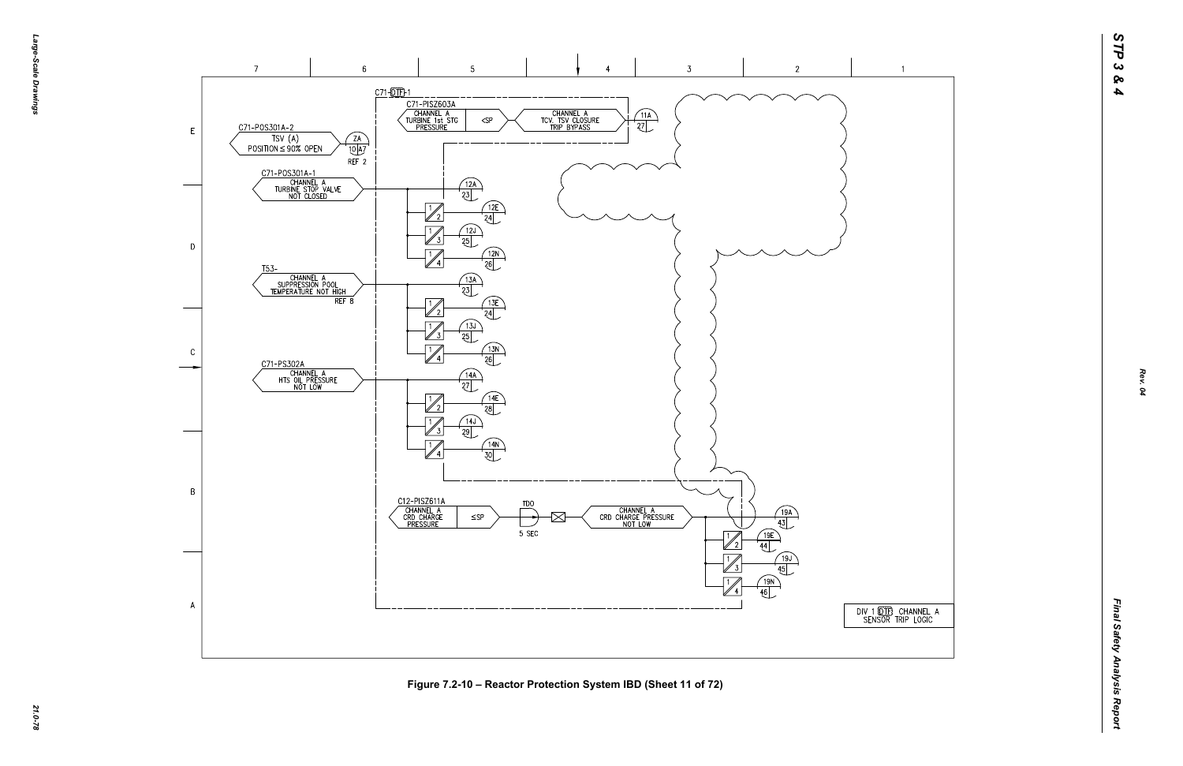-эбле-*Large-Scale Drawings* -Scale Drawings



Figure 7.2-10 – Reactor Protection System IBD (Sheet 11 of 72)<br>ية<br>ما



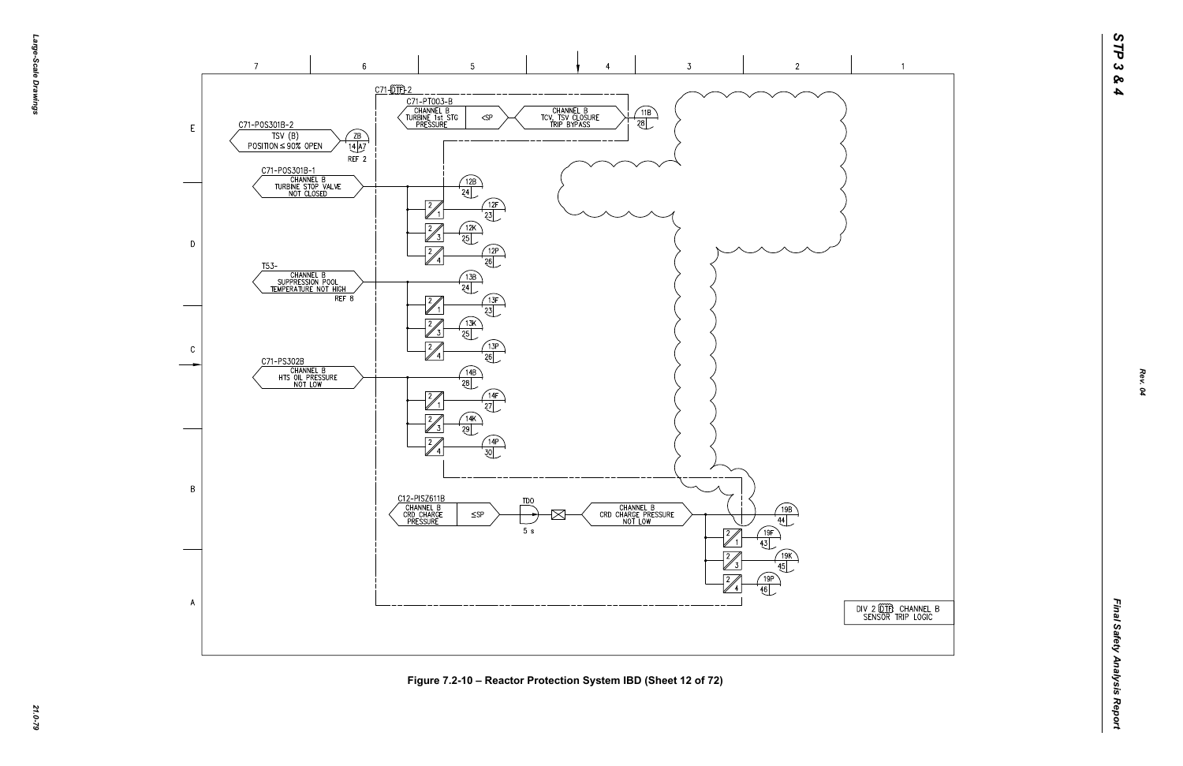



*21.0-79* **Figure 7.2-10 – Reactor Protection System IBD (Sheet 12 of 72)**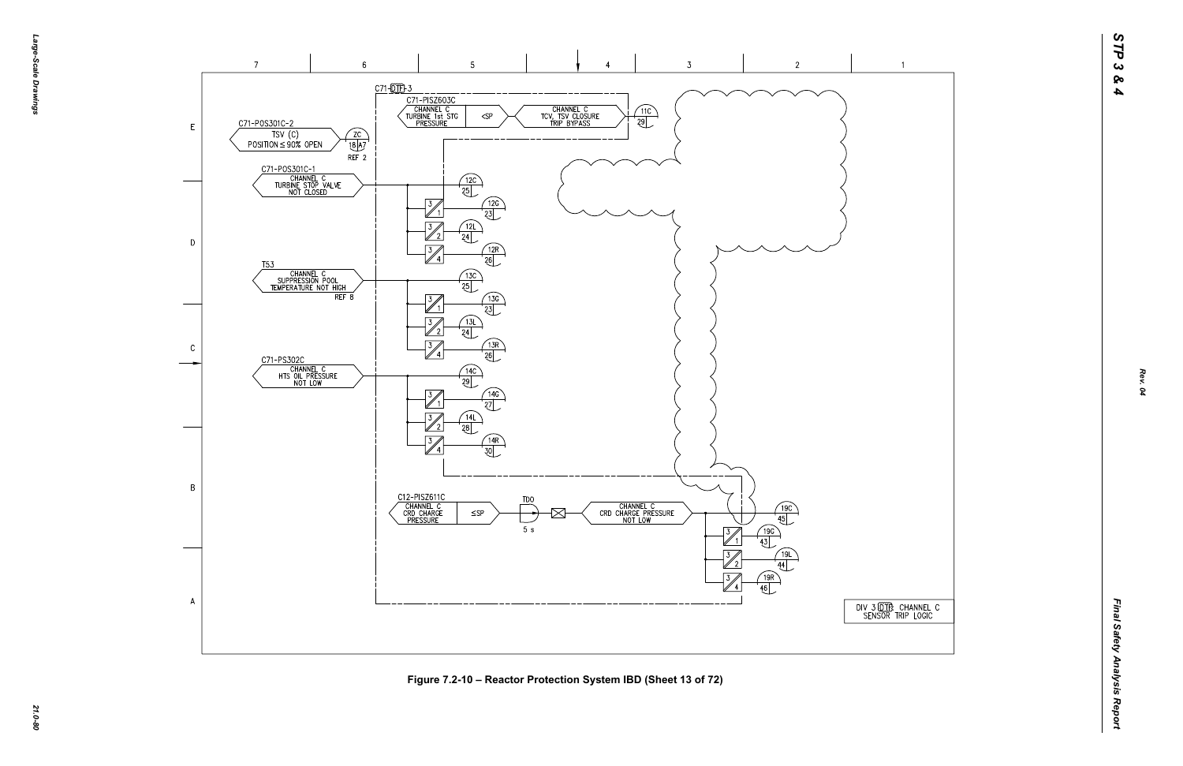$\overline{1}$ 





*21.0-80* **Figure 7.2-10 – Reactor Protection System IBD (Sheet 13 of 72)**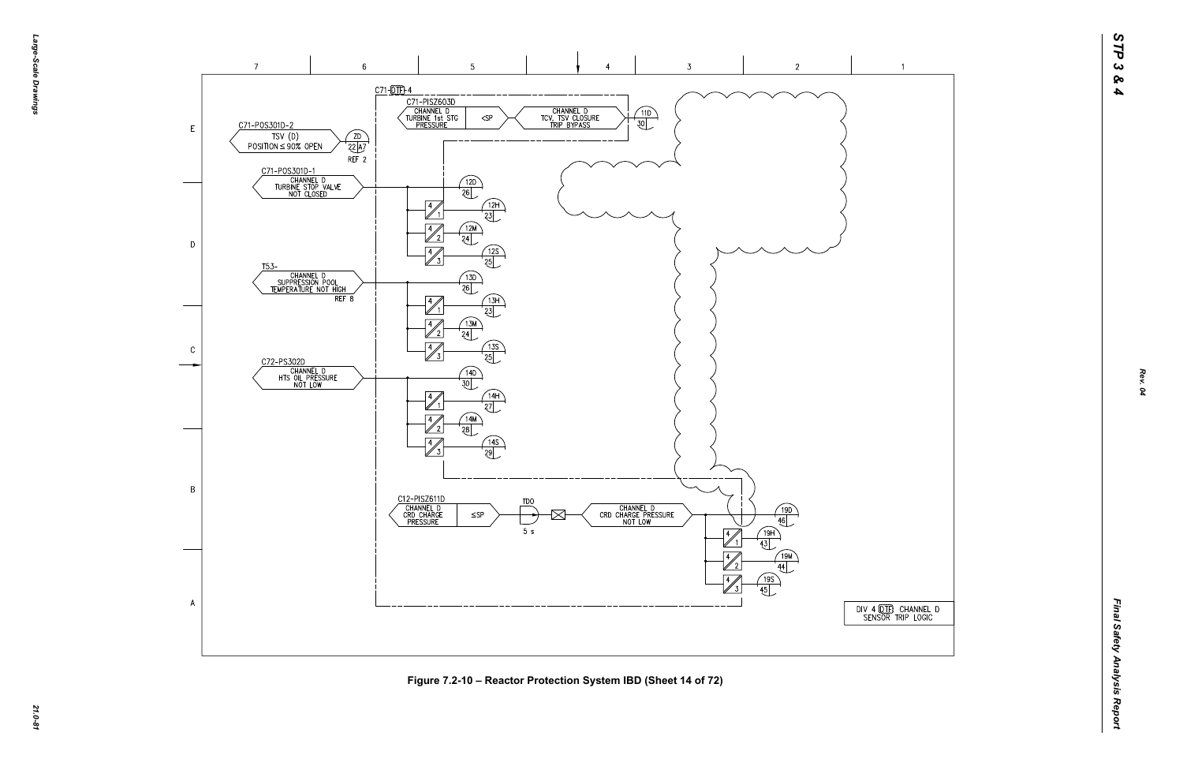## $\overline{1}$







*21.0-81* **Figure 7.2-10 – Reactor Protection System IBD (Sheet 14 of 72)**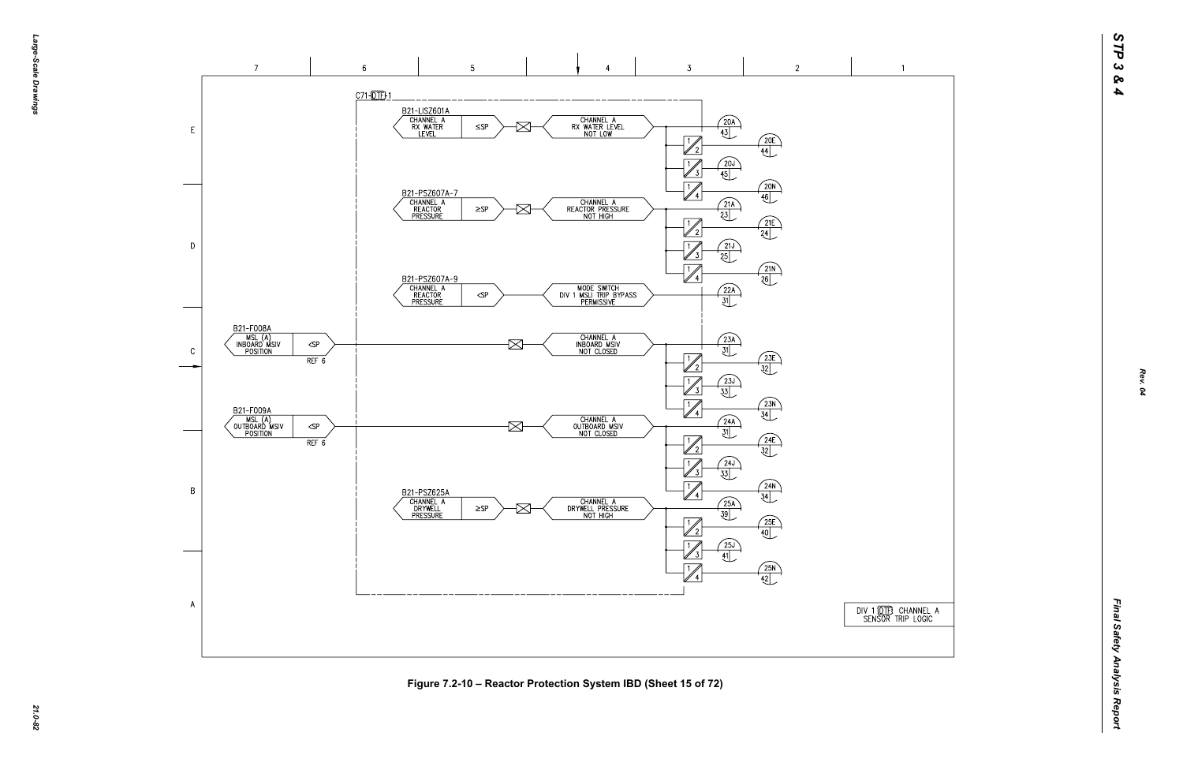



*21.0-82* **Figure 7.2-10 – Reactor Protection System IBD (Sheet 15 of 72)**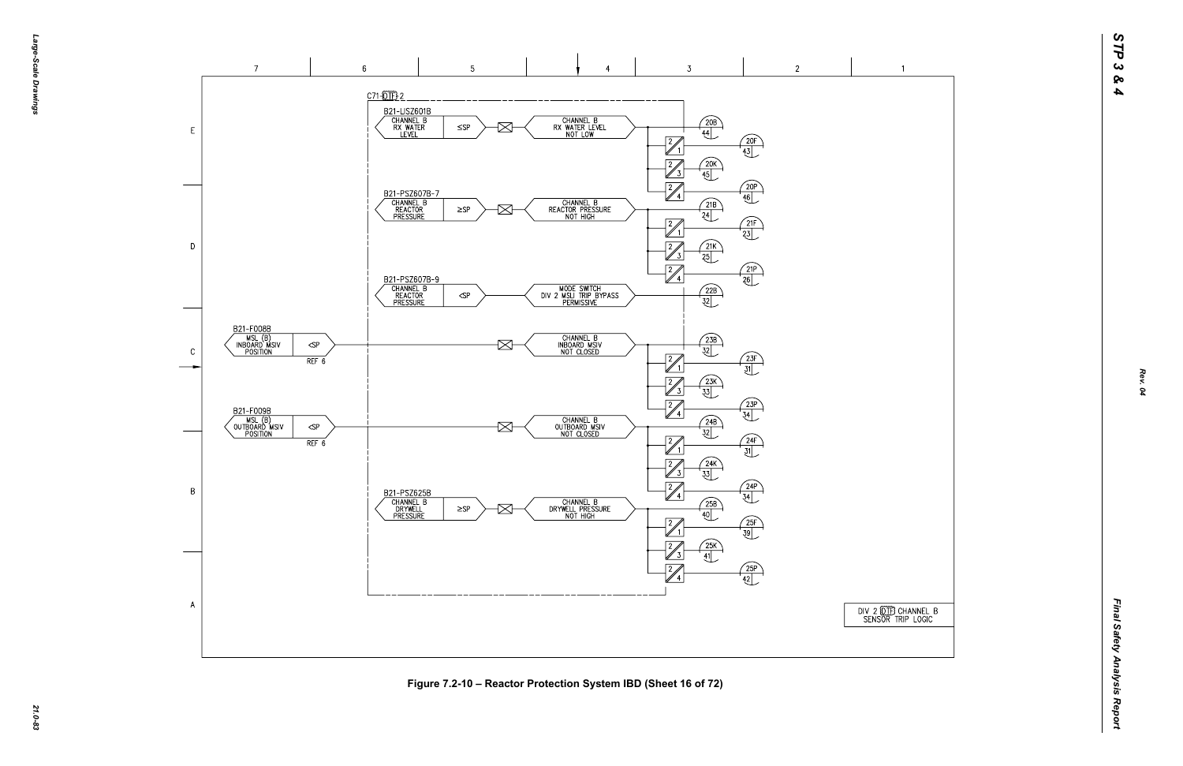



*21.0-83* **Figure 7.2-10 – Reactor Protection System IBD (Sheet 16 of 72)**

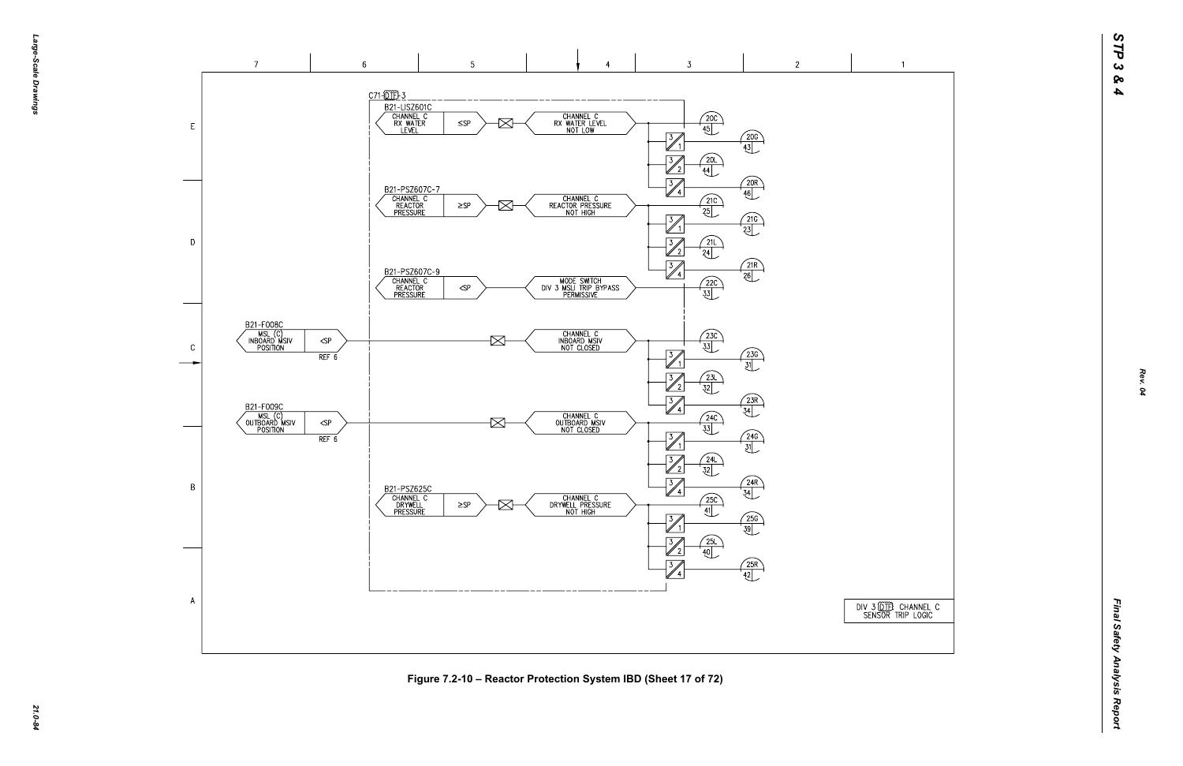

*21.0-84* **Figure 7.2-10 – Reactor Protection System IBD (Sheet 17 of 72)**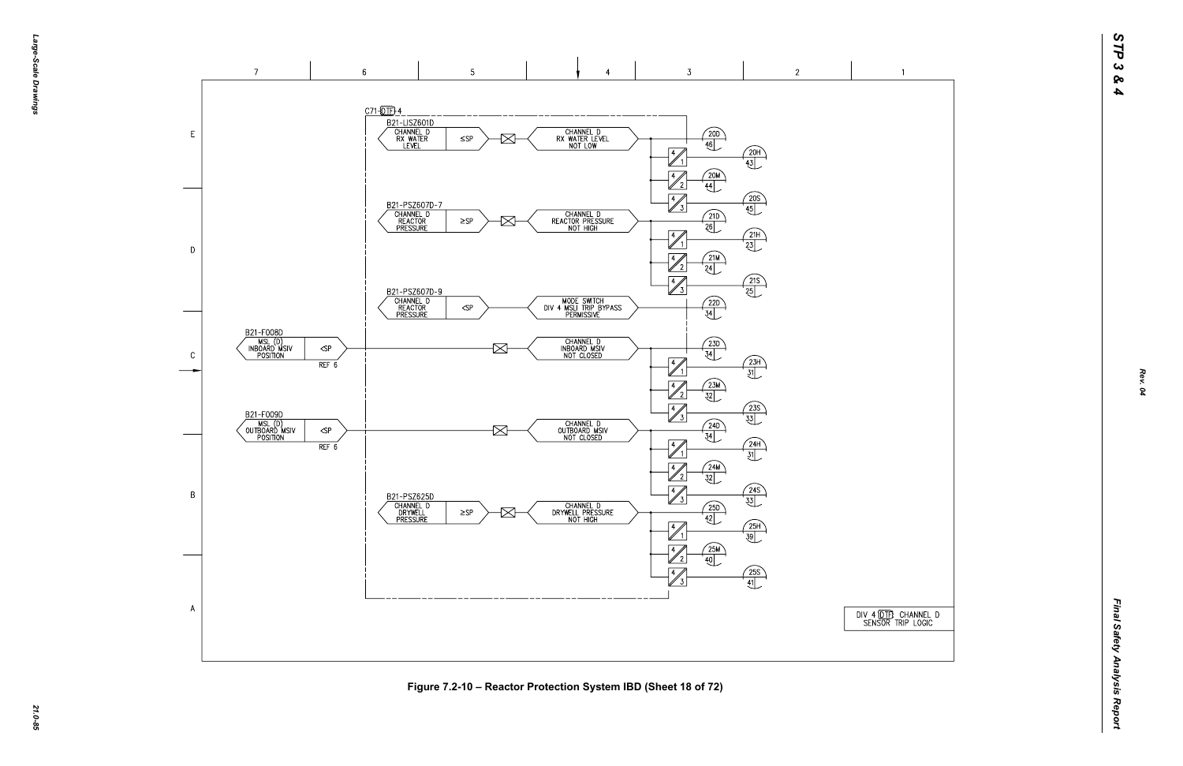DIV 4 (DTF) CHANNEL D<br>SENSOR TRIP LOGIC

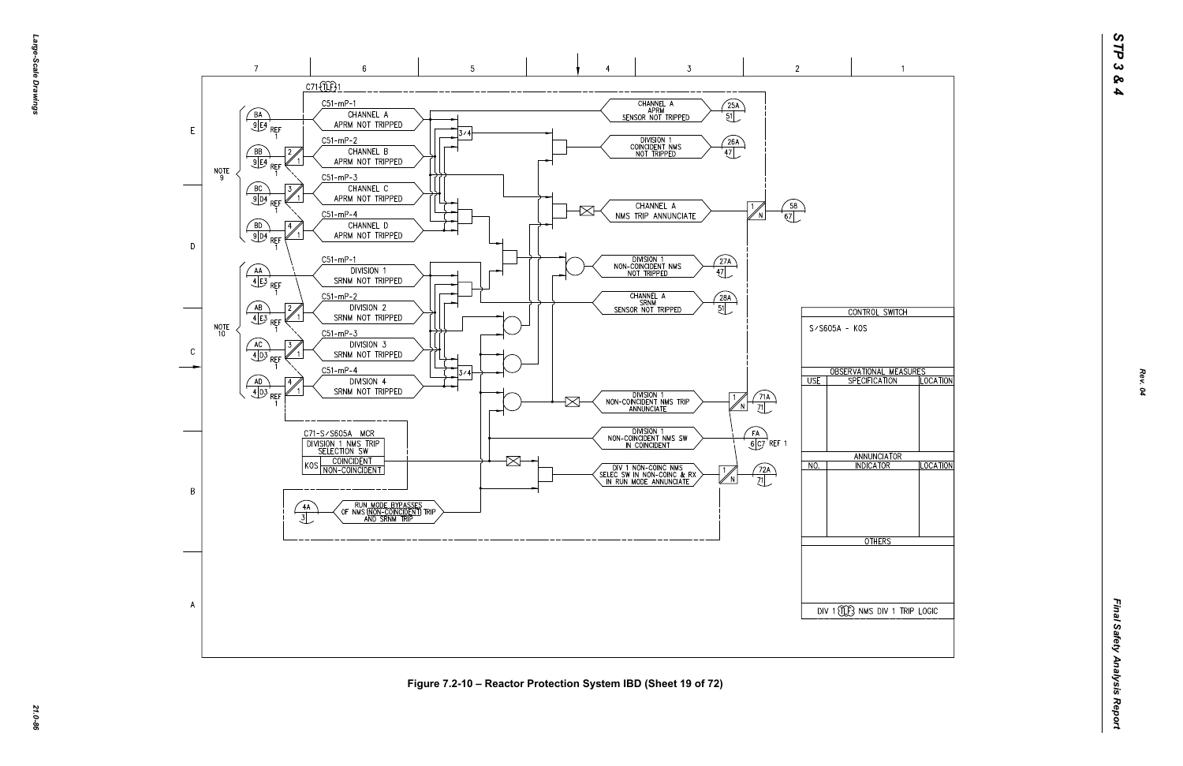

*21.0-86* **Figure 7.2-10 – Reactor Protection System IBD (Sheet 19 of 72)**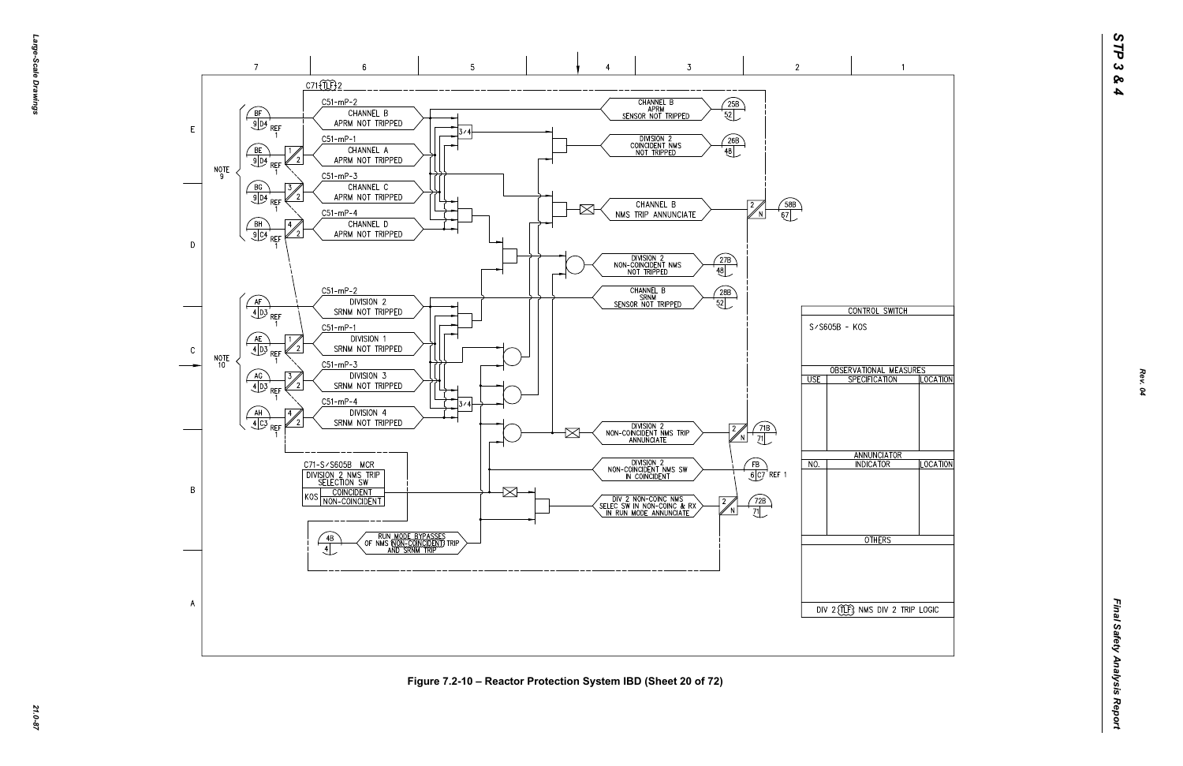

*21.0-87* **Figure 7.2-10 – Reactor Protection System IBD (Sheet 20 of 72)**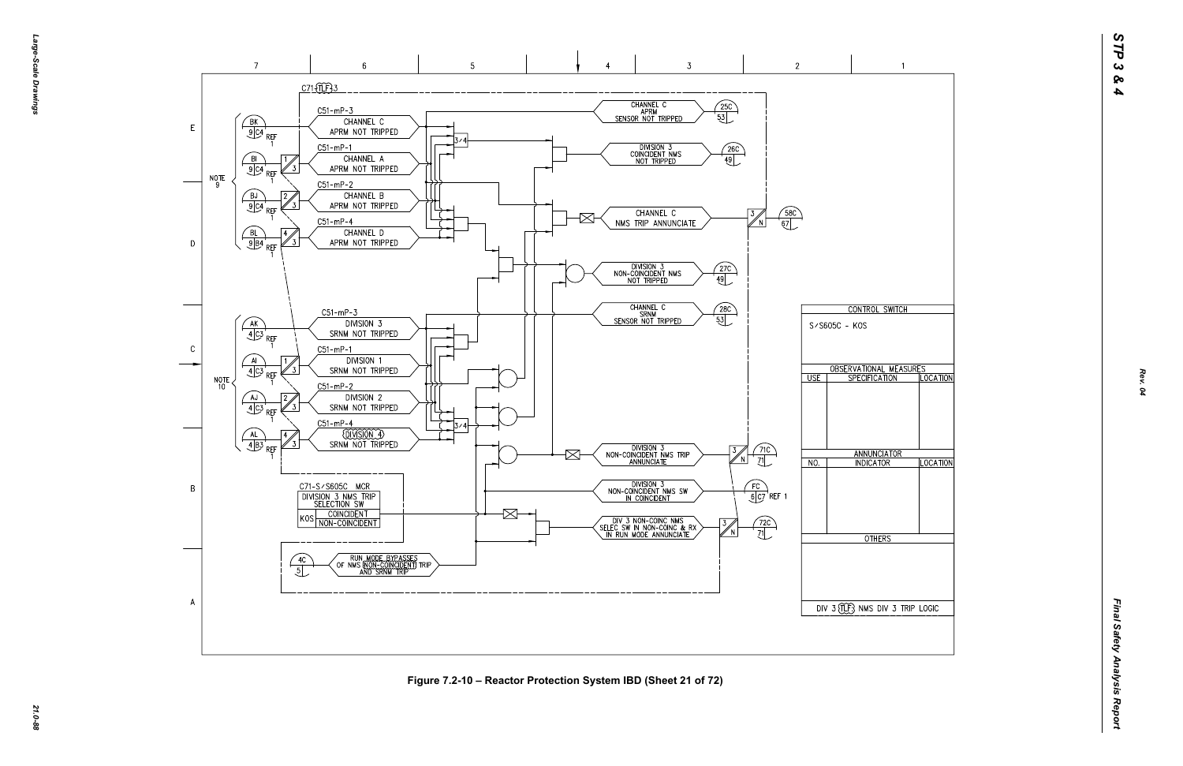

*21.0-88* **Figure 7.2-10 – Reactor Protection System IBD (Sheet 21 of 72)**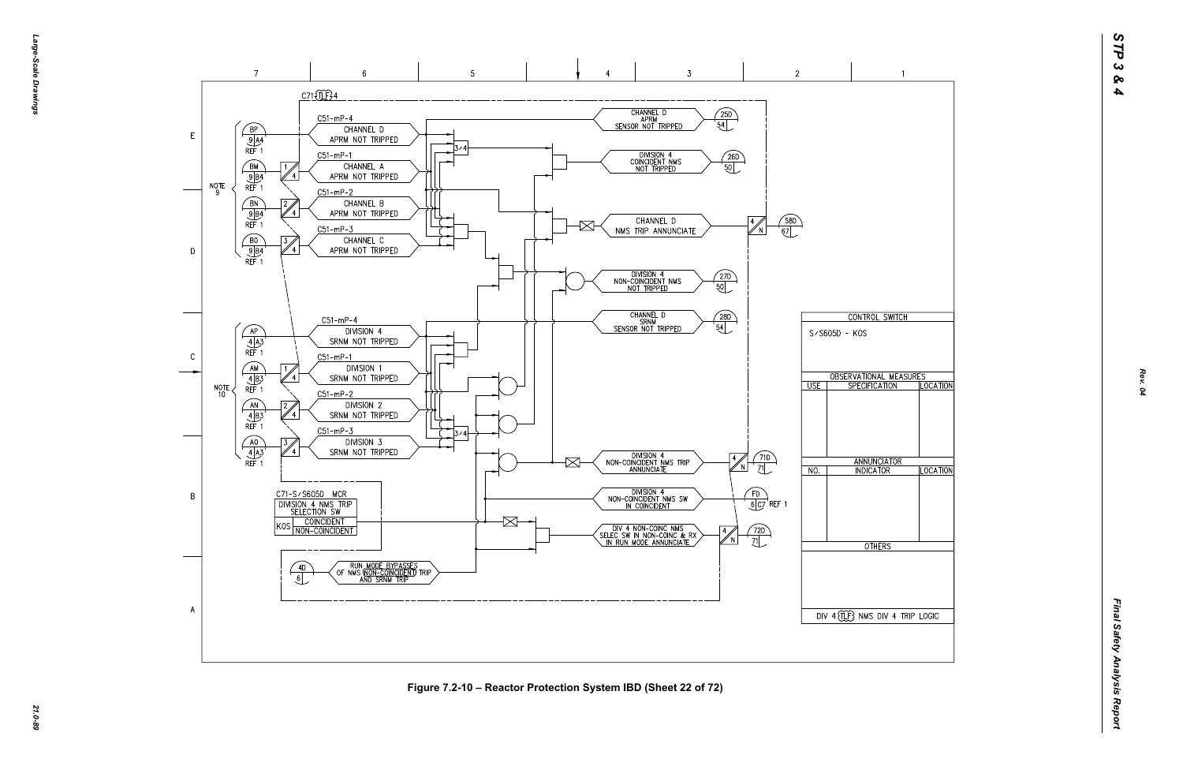*Large-Scale Drawings* arge--Scale Drawings

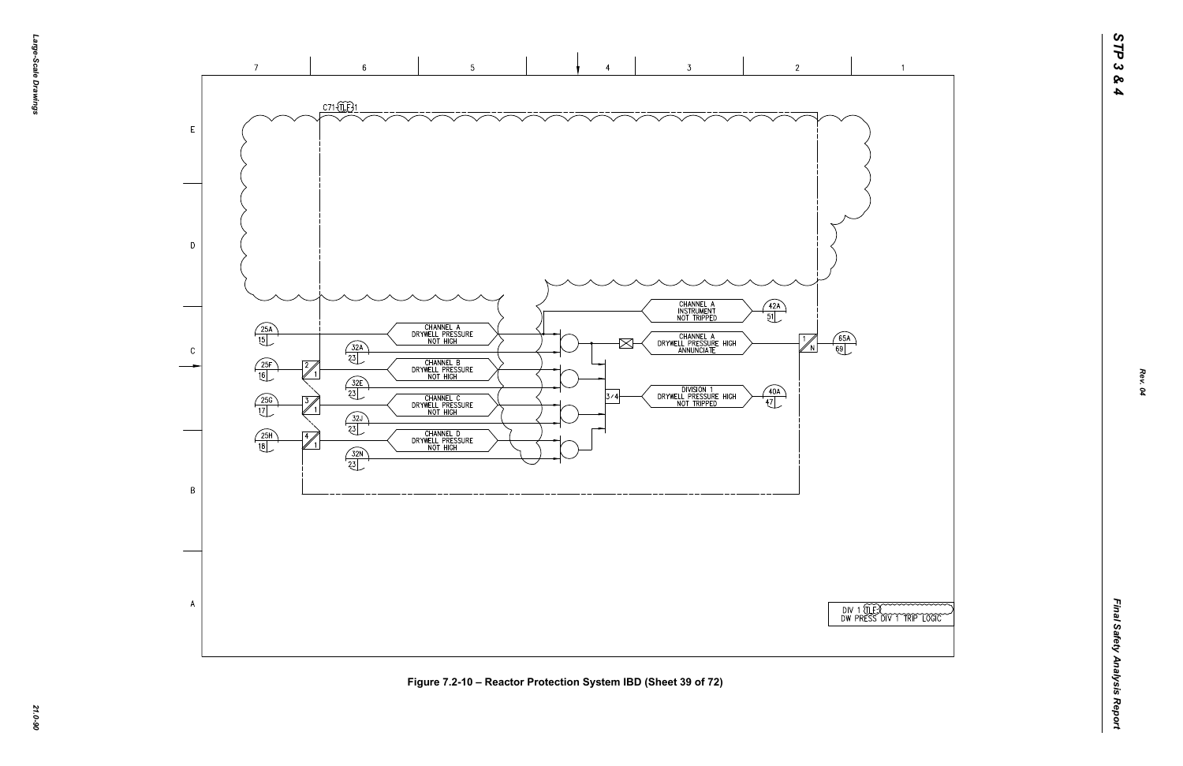

*21.0-90* **Figure 7.2-10 – Reactor Protection System IBD (Sheet 39 of 72)**



 $\overline{1}$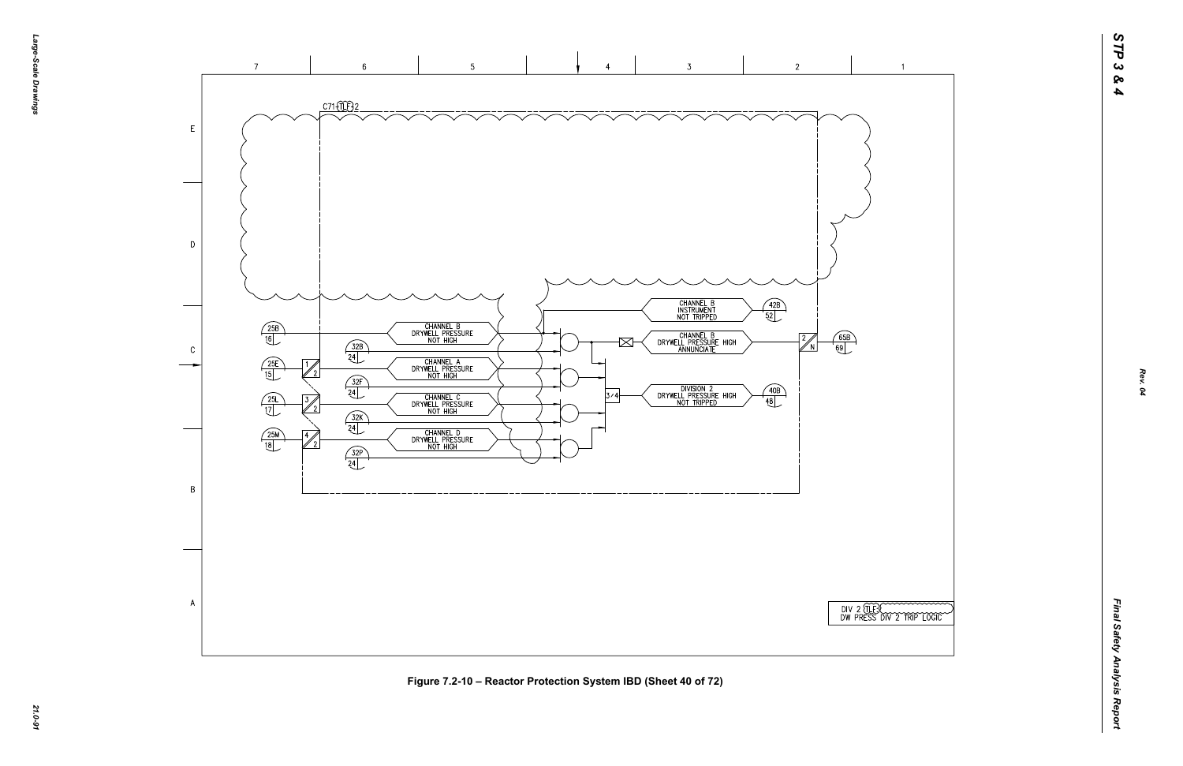

*21.0-91* **Figure 7.2-10 – Reactor Protection System IBD (Sheet 40 of 72)**

| TESCOMONOM I II<br>SS DIV 2 TRIP LOGIC |  |
|----------------------------------------|--|

 $\overline{1}$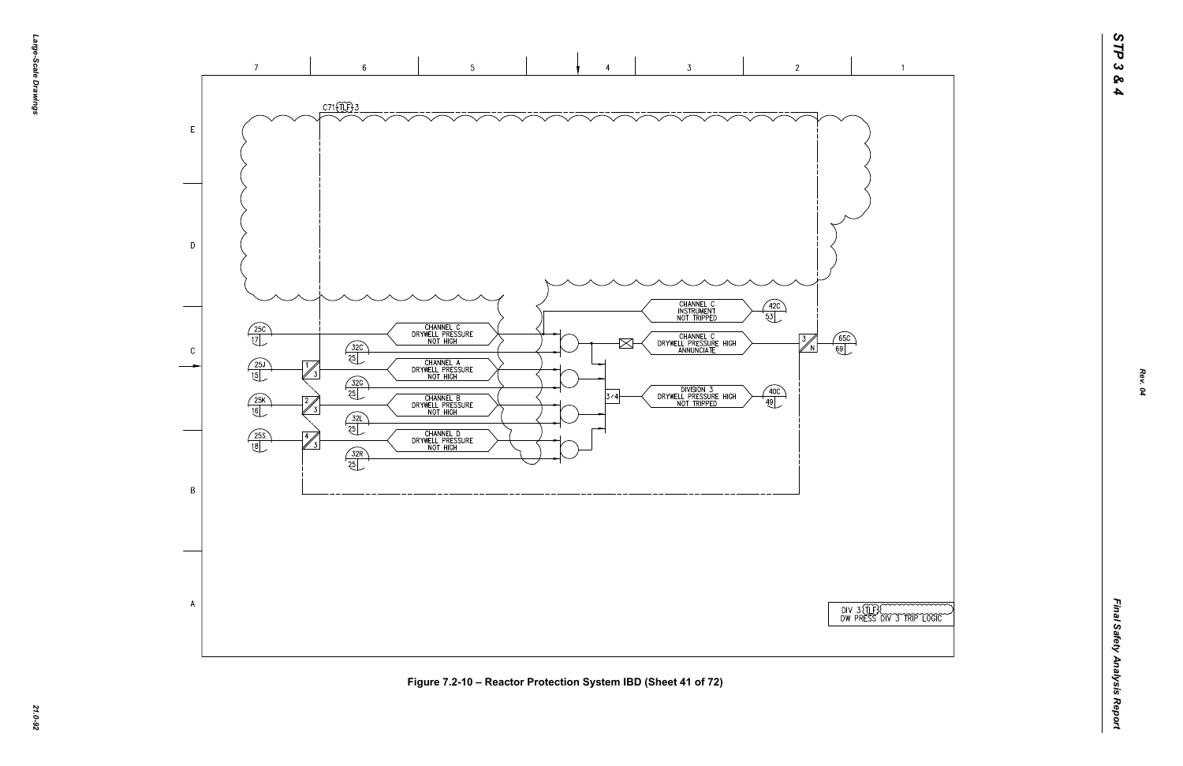

*21.0-92* **Figure 7.2-10 – Reactor Protection System IBD (Sheet 41 of 72)**

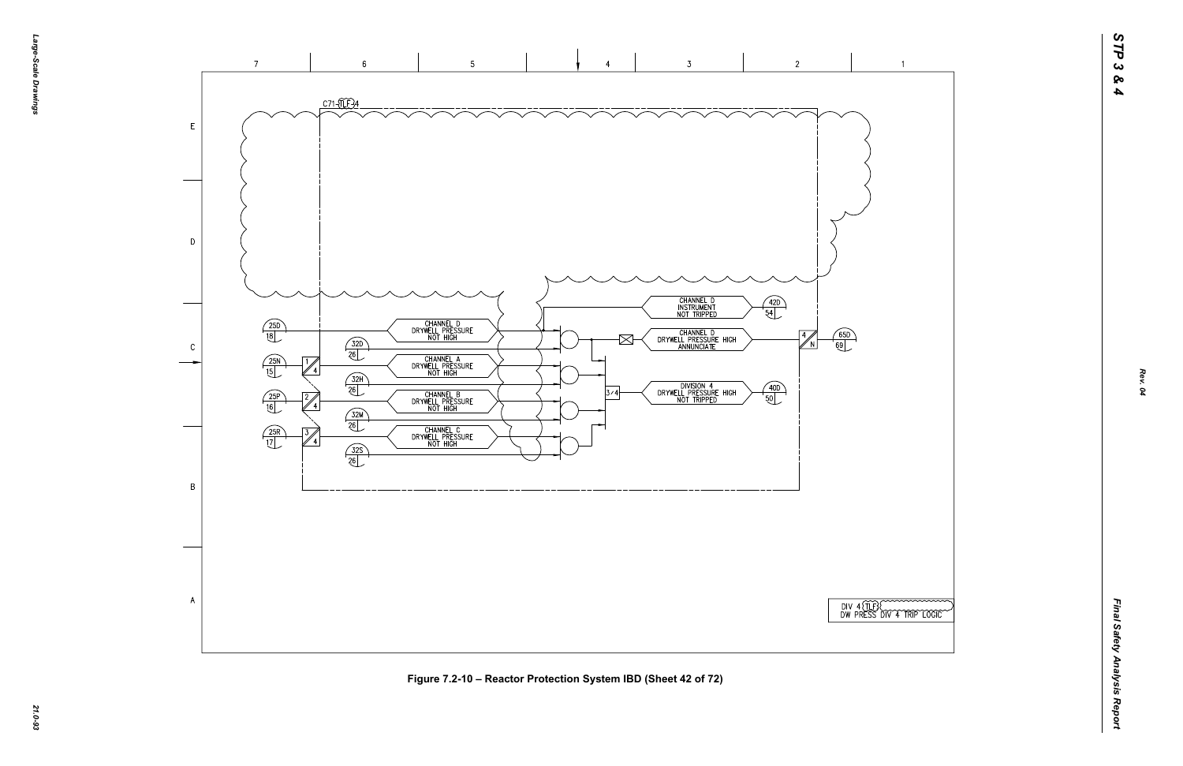



 $\overline{1}$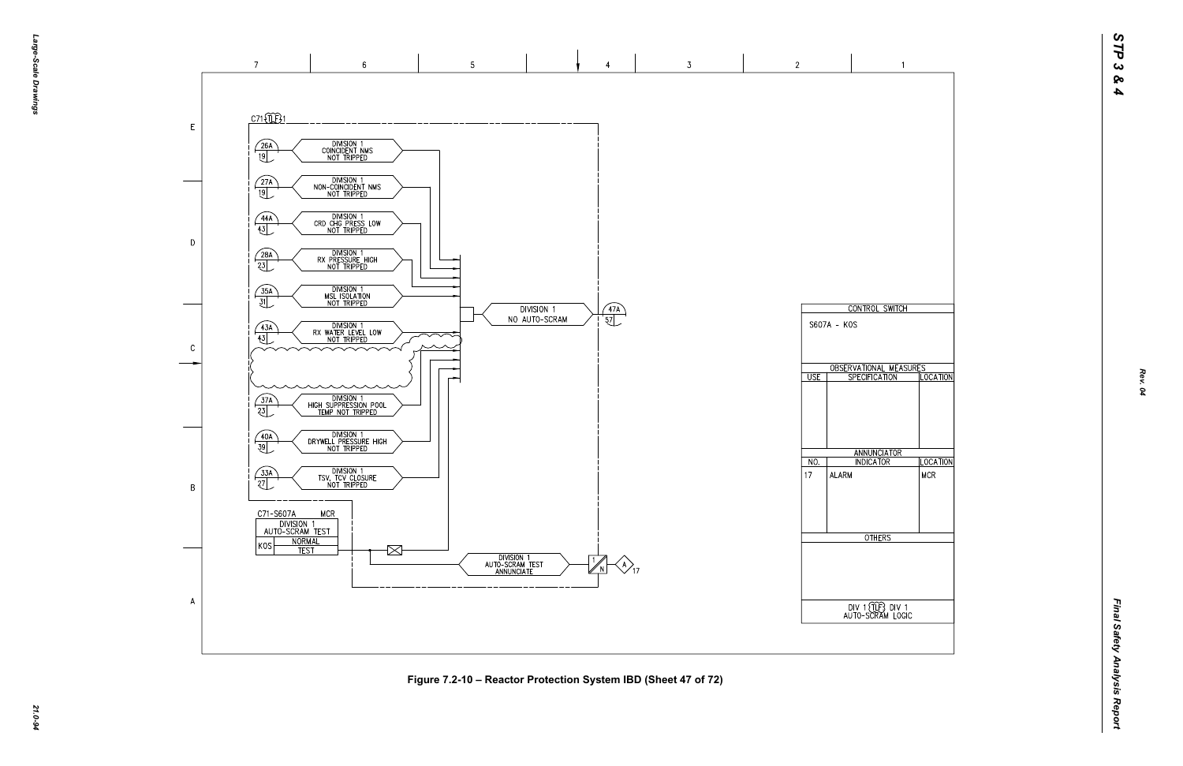*Final Safety Analysis Report* Final Safety Analysis Report



*21.0-94* **Figure 7.2-10 – Reactor Protection System IBD (Sheet 47 of 72)**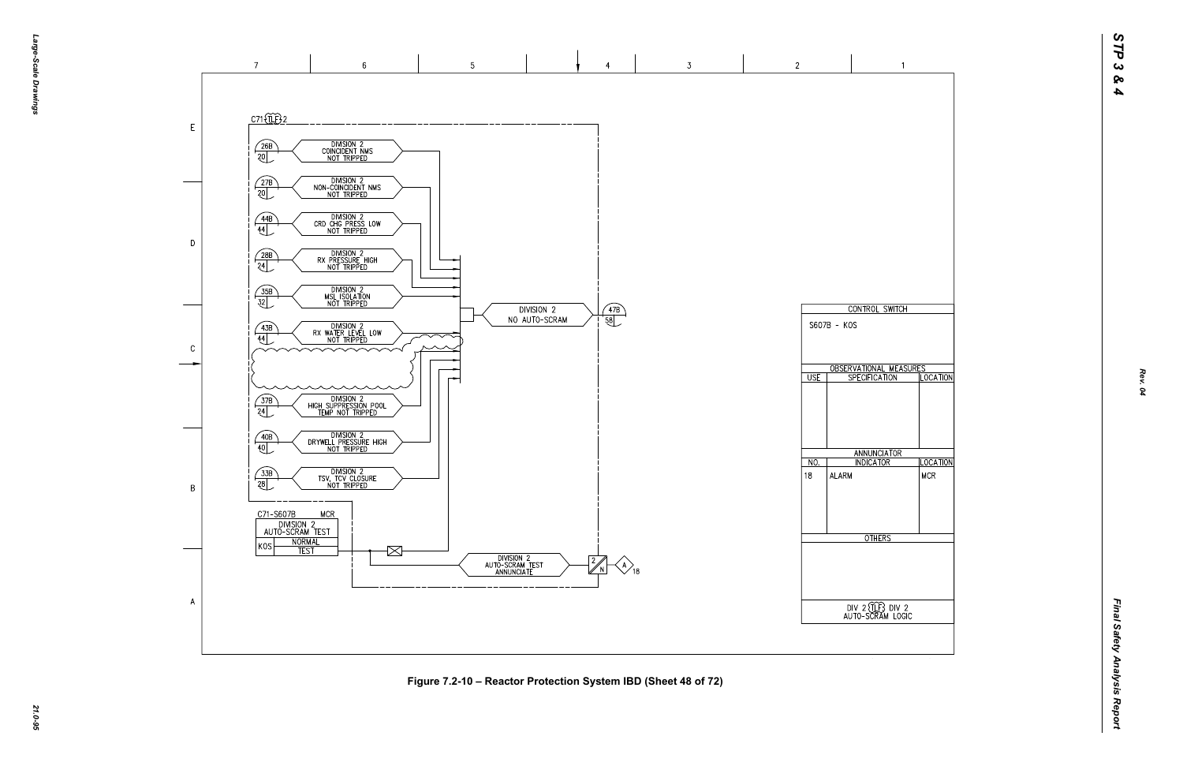

*21.0-95* **Figure 7.2-10 – Reactor Protection System IBD (Sheet 48 of 72)**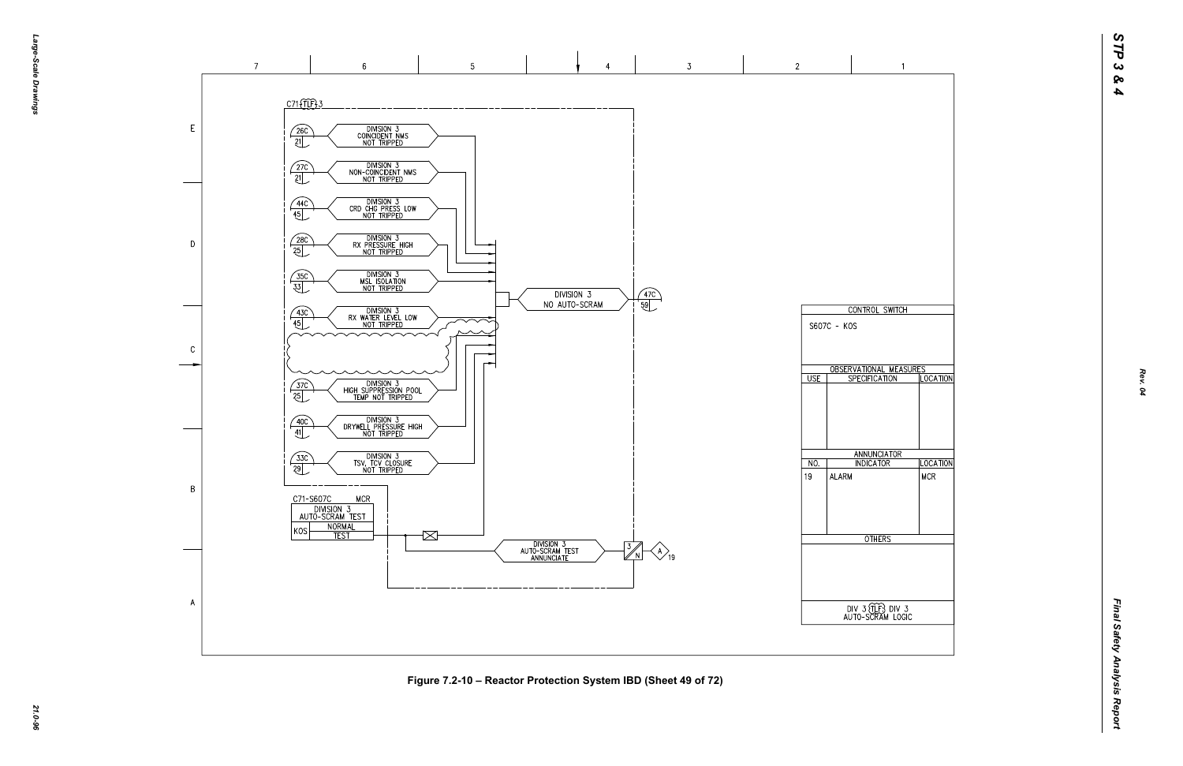

*21.0-96* **Figure 7.2-10 – Reactor Protection System IBD (Sheet 49 of 72)**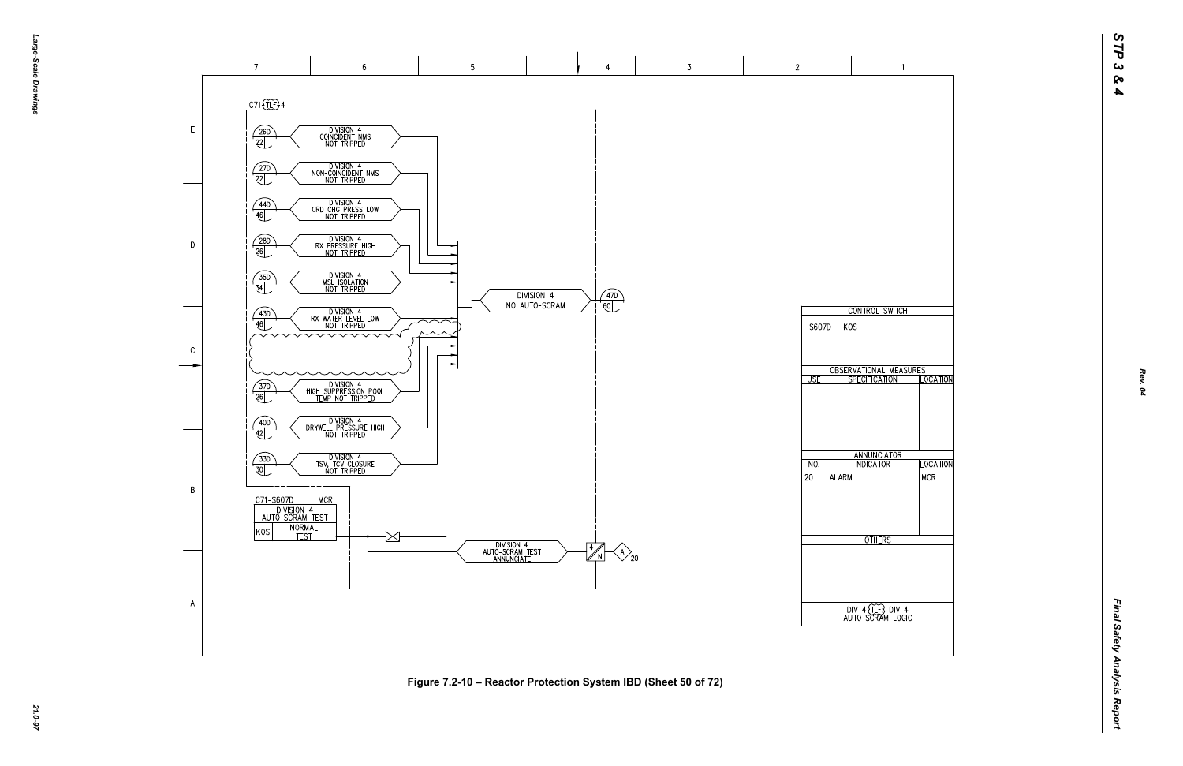

*21.0-97* **Figure 7.2-10 – Reactor Protection System IBD (Sheet 50 of 72)**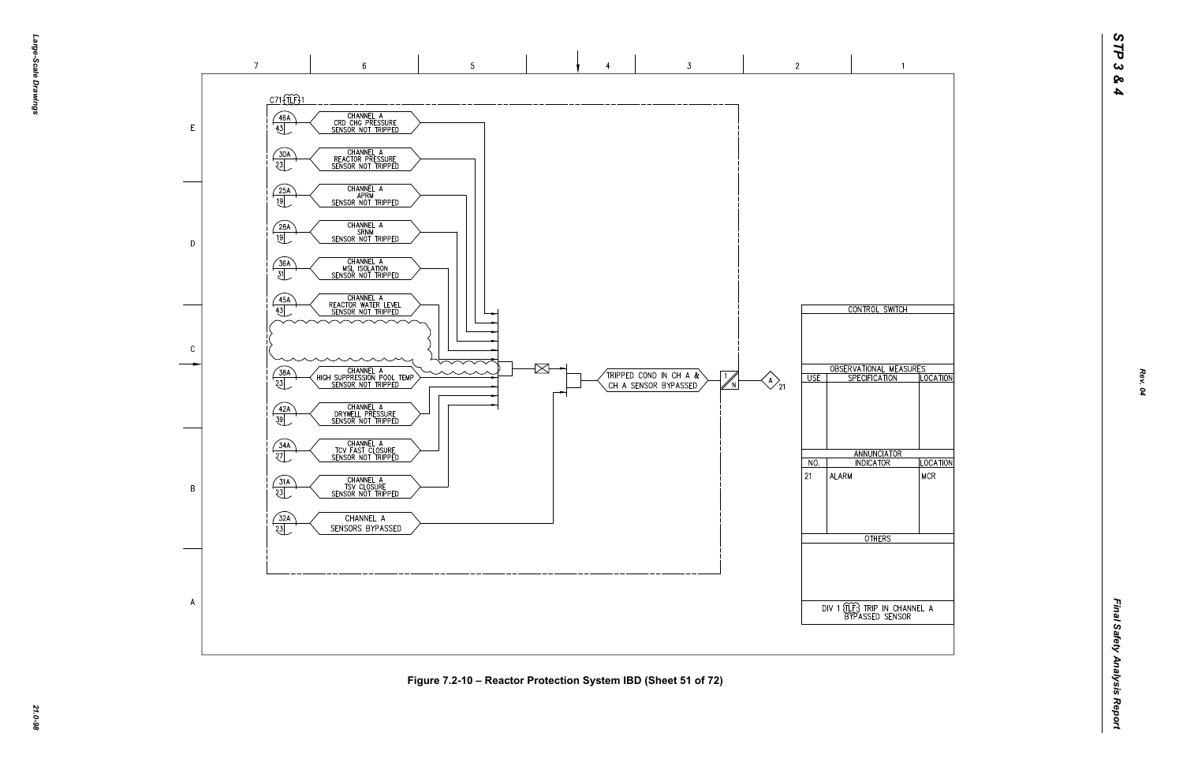



*21.0-98* **Figure 7.2-10 – Reactor Protection System IBD (Sheet 51 of 72)**

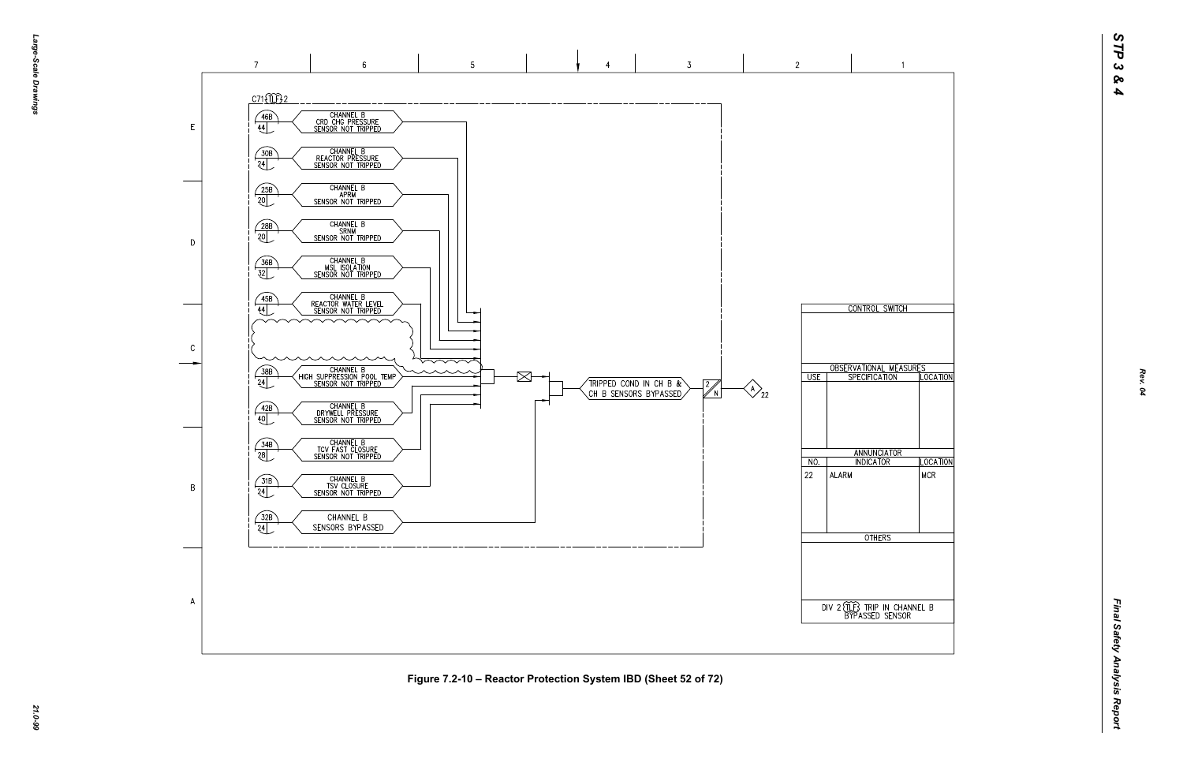

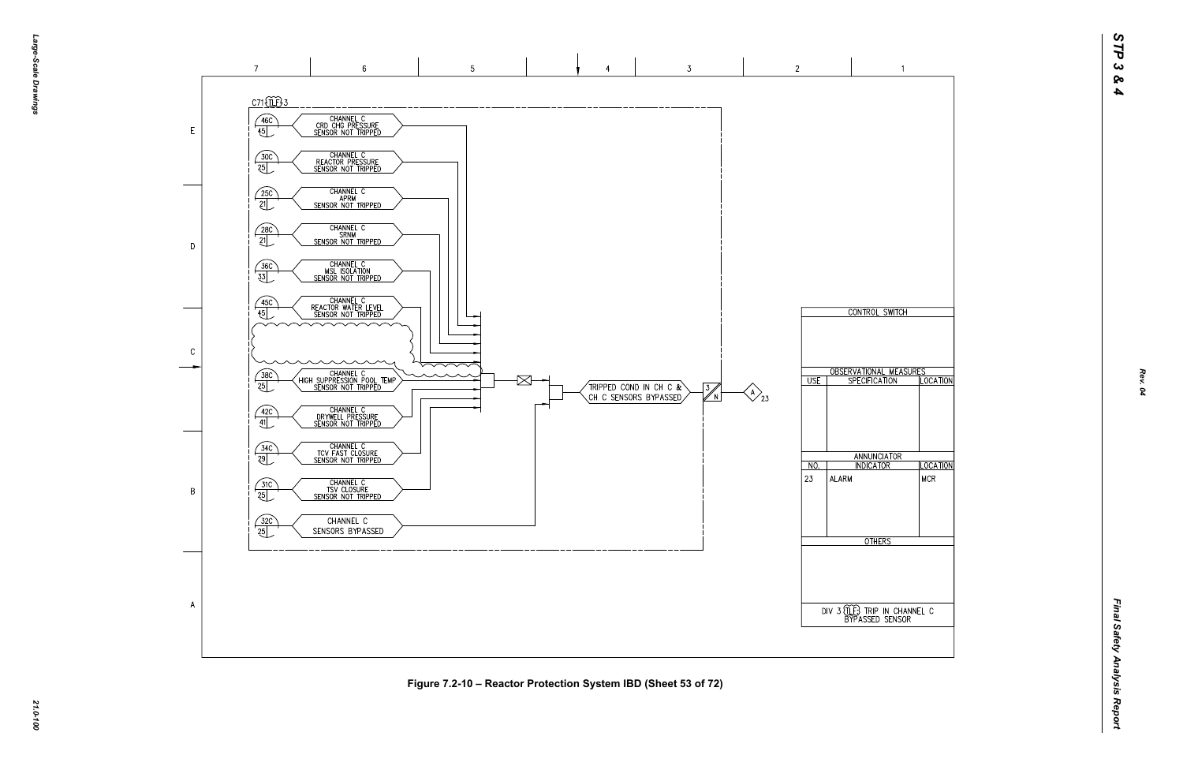

*21.0-100* **Figure 7.2-10 – Reactor Protection System IBD (Sheet 53 of 72)**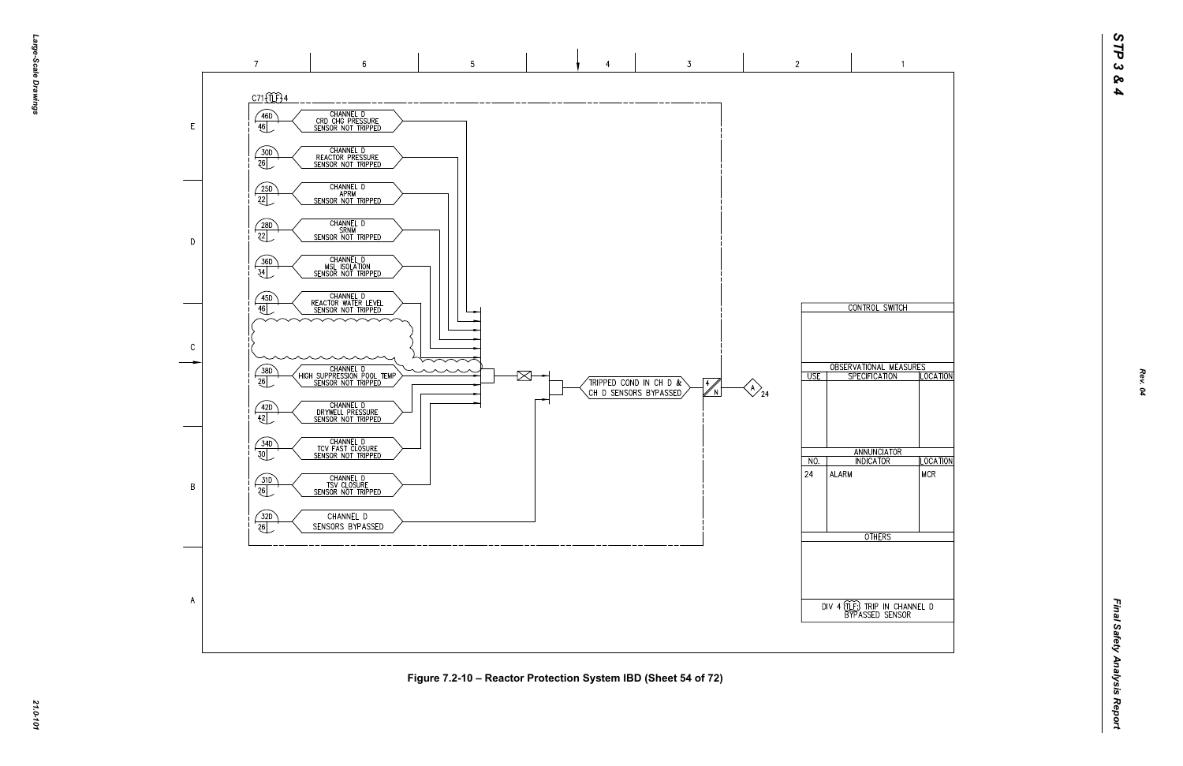

SENSORS BYPASSED

 $\overline{A}$ 



 $3<sup>7</sup>$ 

 $\frac{4}{\sqrt{N}}$ 

 $\bigotimes_{24}$ 

*Final Safety Analysis Report* Final Safety Analysis Report

## *21.0-101* **Figure 7.2-10 – Reactor Protection System IBD (Sheet 54 of 72)**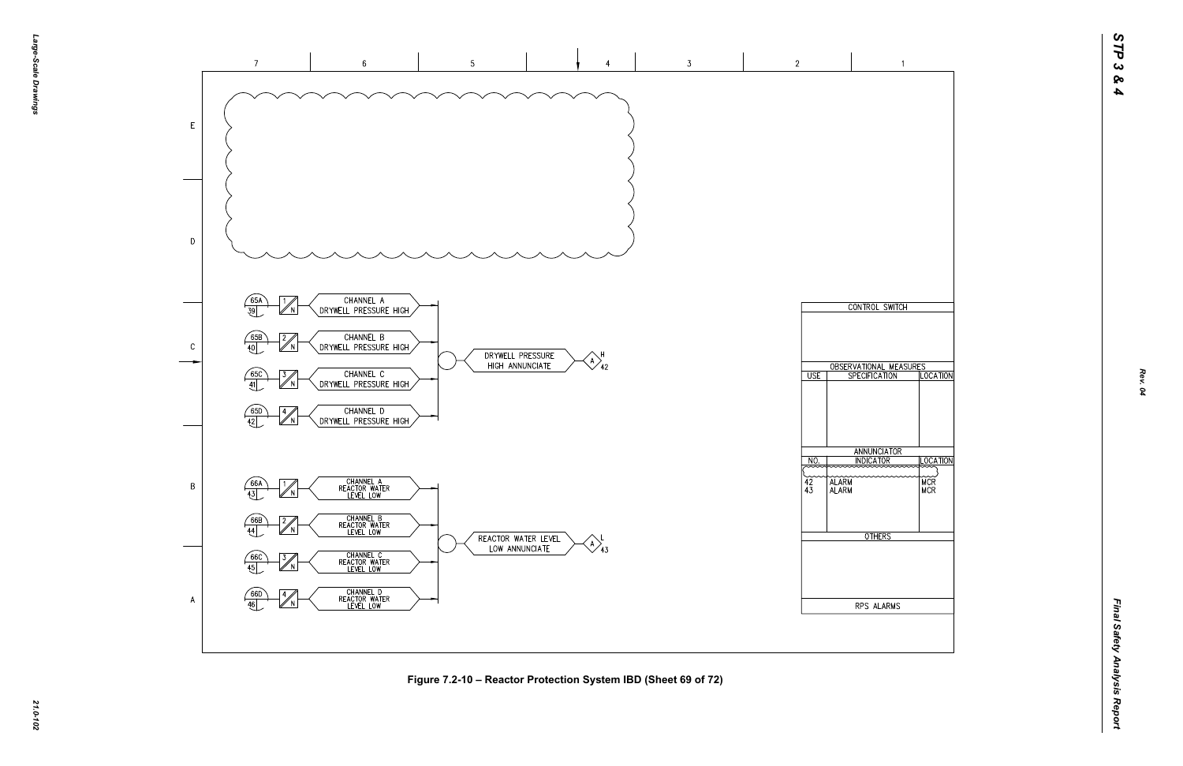

*21.0-102* **Figure 7.2-10 – Reactor Protection System IBD (Sheet 69 of 72)**